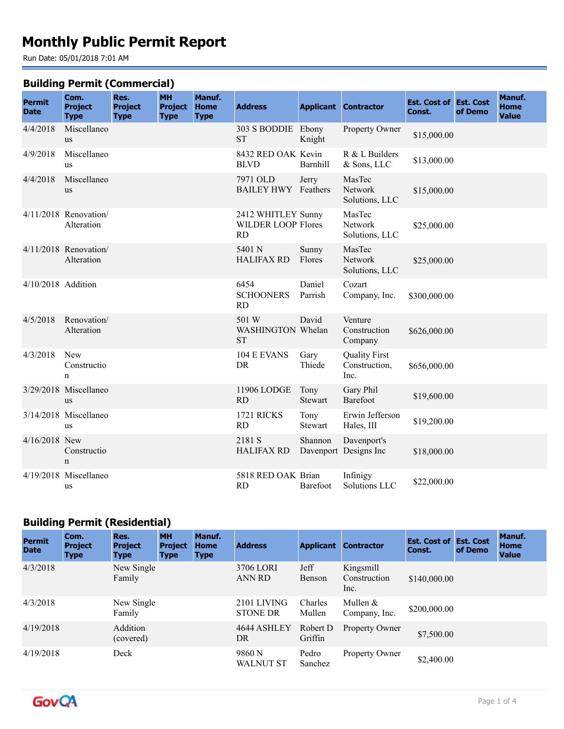# **Monthly Public Permit Report**

Run Date: 05/01/2018 7:01 AM

#### **Building Permit (Commercial)**

| <b>Permit</b><br><b>Date</b> | Com.<br><b>Project</b><br><b>Type</b> | Res.<br><b>Project</b><br><b>Type</b> | <b>MH</b><br><b>Project</b><br><b>Type</b> | Manuf.<br><b>Home</b><br><b>Type</b> | <b>Address</b>                                               |                        | <b>Applicant Contractor</b>                   | <b>Est. Cost of Est. Cost</b><br>Const. | of Demo | Manuf.<br><b>Home</b><br><b>Value</b> |
|------------------------------|---------------------------------------|---------------------------------------|--------------------------------------------|--------------------------------------|--------------------------------------------------------------|------------------------|-----------------------------------------------|-----------------------------------------|---------|---------------------------------------|
| 4/4/2018                     | Miscellaneo<br><b>us</b>              |                                       |                                            |                                      | 303 S BODDIE Ebony<br><b>ST</b>                              | Knight                 | Property Owner                                | \$15,000.00                             |         |                                       |
| 4/9/2018                     | Miscellaneo<br>us                     |                                       |                                            |                                      | 8432 RED OAK Kevin<br><b>BLVD</b>                            | Barnhill               | R & L Builders<br>& Sons, LLC                 | \$13,000.00                             |         |                                       |
| 4/4/2018                     | Miscellaneo<br><b>us</b>              |                                       |                                            |                                      | 7971 OLD<br><b>BAILEY HWY</b> Feathers                       | Jerry                  | MasTec<br>Network<br>Solutions, LLC           | \$15,000.00                             |         |                                       |
|                              | $4/11/2018$ Renovation/<br>Alteration |                                       |                                            |                                      | 2412 WHITLEY Sunny<br><b>WILDER LOOP Flores</b><br><b>RD</b> |                        | MasTec<br>Network<br>Solutions, LLC           | \$25,000.00                             |         |                                       |
|                              | 4/11/2018 Renovation/<br>Alteration   |                                       |                                            |                                      | 5401 N<br><b>HALIFAX RD</b>                                  | Sunny<br>Flores        | MasTec<br>Network<br>Solutions, LLC           | \$25,000.00                             |         |                                       |
| 4/10/2018 Addition           |                                       |                                       |                                            |                                      | 6454<br><b>SCHOONERS</b><br><b>RD</b>                        | Daniel<br>Parrish      | Cozart<br>Company, Inc.                       | \$300,000.00                            |         |                                       |
| 4/5/2018                     | Renovation/<br>Alteration             |                                       |                                            |                                      | 501 W<br>WASHINGTON Whelan<br><b>ST</b>                      | David                  | Venture<br>Construction<br>Company            | \$626,000.00                            |         |                                       |
| 4/3/2018                     | <b>New</b><br>Constructio<br>n        |                                       |                                            |                                      | 104 E EVANS<br>DR                                            | Gary<br>Thiede         | <b>Quality First</b><br>Construction,<br>Inc. | \$656,000.00                            |         |                                       |
|                              | 3/29/2018 Miscellaneo<br>us           |                                       |                                            |                                      | 11906 LODGE<br><b>RD</b>                                     | Tony<br>Stewart        | Gary Phil<br>Barefoot                         | \$19,600.00                             |         |                                       |
|                              | 3/14/2018 Miscellaneo<br><b>us</b>    |                                       |                                            |                                      | 1721 RICKS<br><b>RD</b>                                      | Tony<br><b>Stewart</b> | Erwin Jefferson<br>Hales, III                 | \$19,200.00                             |         |                                       |
| $4/16/2018$ New              | Constructio<br>$\mathbf n$            |                                       |                                            |                                      | 2181 S<br><b>HALIFAX RD</b>                                  | Shannon                | Davenport's<br>Davenport Designs Inc          | \$18,000.00                             |         |                                       |
|                              | 4/19/2018 Miscellaneo<br>us           |                                       |                                            |                                      | 5818 RED OAK Brian<br><b>RD</b>                              | Barefoot               | Infinigy<br>Solutions LLC                     | \$22,000.00                             |         |                                       |

### **Building Permit (Residential)**

| <b>Permit</b><br><b>Date</b> | Com.<br><b>Project</b><br><b>Type</b> | Res.<br><b>Project</b><br><b>Type</b> | <b>MH</b><br><b>Project</b><br><b>Type</b> | Manuf.<br><b>Home</b><br><b>Type</b> | <b>Address</b>                 | <b>Applicant</b>    | <b>Contractor</b>                 | <b>Est. Cost of Est. Cost</b><br>Const. | of Demo | Manuf.<br><b>Home</b><br><b>Value</b> |
|------------------------------|---------------------------------------|---------------------------------------|--------------------------------------------|--------------------------------------|--------------------------------|---------------------|-----------------------------------|-----------------------------------------|---------|---------------------------------------|
| 4/3/2018                     |                                       | New Single<br>Family                  |                                            |                                      | 3706 LORI<br><b>ANN RD</b>     | Jeff<br>Benson      | Kingsmill<br>Construction<br>Inc. | \$140,000.00                            |         |                                       |
| 4/3/2018                     |                                       | New Single<br>Family                  |                                            |                                      | 2101 LIVING<br><b>STONE DR</b> | Charles<br>Mullen   | Mullen $&$<br>Company, Inc.       | \$200,000.00                            |         |                                       |
| 4/19/2018                    |                                       | Addition<br>(covered)                 |                                            |                                      | 4644 ASHLEY<br>DR              | Robert D<br>Griffin | Property Owner                    | \$7,500.00                              |         |                                       |
| 4/19/2018                    |                                       | Deck                                  |                                            |                                      | 9860 N<br><b>WALNUT ST</b>     | Pedro<br>Sanchez    | Property Owner                    | \$2,400.00                              |         |                                       |

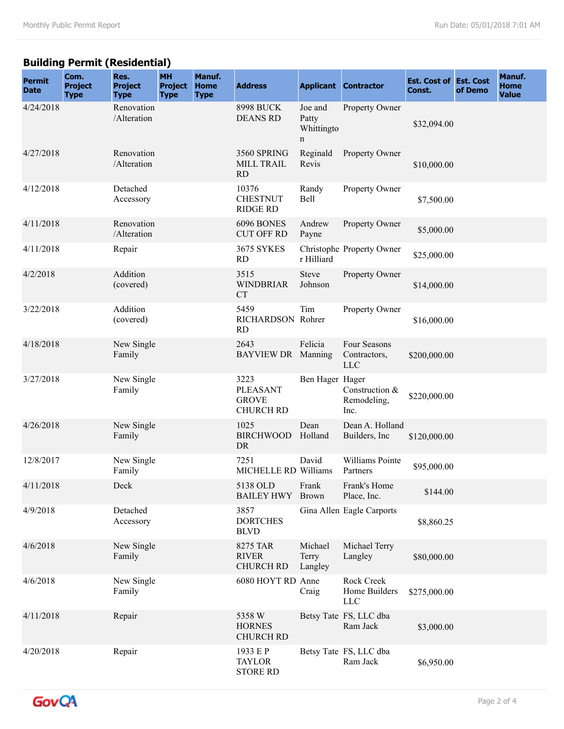## **Building Permit (Residential)**

| <b>Permit</b><br><b>Date</b> | Com.<br><b>Project</b><br><b>Type</b> | Res.<br><b>Project</b><br><b>Type</b> | <b>MH</b><br><b>Project</b><br><b>Type</b> | Manuf.<br><b>Home</b><br><b>Type</b> | <b>Address</b>                                              |                                     | <b>Applicant Contractor</b>                | <b>Est. Cost of Est. Cost</b><br>Const. | of Demo | Manuf.<br><b>Home</b><br><b>Value</b> |
|------------------------------|---------------------------------------|---------------------------------------|--------------------------------------------|--------------------------------------|-------------------------------------------------------------|-------------------------------------|--------------------------------------------|-----------------------------------------|---------|---------------------------------------|
| 4/24/2018                    |                                       | Renovation<br>/Alteration             |                                            |                                      | <b>8998 BUCK</b><br><b>DEANS RD</b>                         | Joe and<br>Patty<br>Whittingto<br>n | Property Owner                             | \$32,094.00                             |         |                                       |
| 4/27/2018                    |                                       | Renovation<br>/Alteration             |                                            |                                      | 3560 SPRING<br>MILL TRAIL<br><b>RD</b>                      | Reginald<br>Revis                   | Property Owner                             | \$10,000.00                             |         |                                       |
| 4/12/2018                    |                                       | Detached<br>Accessory                 |                                            |                                      | 10376<br><b>CHESTNUT</b><br><b>RIDGE RD</b>                 | Randy<br>Bell                       | Property Owner                             | \$7,500.00                              |         |                                       |
| 4/11/2018                    |                                       | Renovation<br>/Alteration             |                                            |                                      | 6096 BONES<br><b>CUT OFF RD</b>                             | Andrew<br>Payne                     | Property Owner                             | \$5,000.00                              |         |                                       |
| 4/11/2018                    |                                       | Repair                                |                                            |                                      | <b>3675 SYKES</b><br><b>RD</b>                              | r Hilliard                          | Christophe Property Owner                  | \$25,000.00                             |         |                                       |
| 4/2/2018                     |                                       | Addition<br>(covered)                 |                                            |                                      | 3515<br><b>WINDBRIAR</b><br><b>CT</b>                       | <b>Steve</b><br>Johnson             | Property Owner                             | \$14,000.00                             |         |                                       |
| 3/22/2018                    |                                       | Addition<br>(covered)                 |                                            |                                      | 5459<br>RICHARDSON Rohrer<br><b>RD</b>                      | Tim                                 | Property Owner                             | \$16,000.00                             |         |                                       |
| 4/18/2018                    |                                       | New Single<br>Family                  |                                            |                                      | 2643<br>BAYVIEW DR Manning                                  | Felicia                             | Four Seasons<br>Contractors,<br><b>LLC</b> | \$200,000.00                            |         |                                       |
| 3/27/2018                    |                                       | New Single<br>Family                  |                                            |                                      | 3223<br><b>PLEASANT</b><br><b>GROVE</b><br><b>CHURCH RD</b> | Ben Hager Hager                     | Construction &<br>Remodeling,<br>Inc.      | \$220,000.00                            |         |                                       |
| 4/26/2018                    |                                       | New Single<br>Family                  |                                            |                                      | 1025<br><b>BIRCHWOOD</b><br>DR                              | Dean<br>Holland                     | Dean A. Holland<br>Builders, Inc.          | \$120,000.00                            |         |                                       |
| 12/8/2017                    |                                       | New Single<br>Family                  |                                            |                                      | 7251<br>MICHELLE RD Williams                                | David                               | Williams Pointe<br>Partners                | \$95,000.00                             |         |                                       |
| 4/11/2018                    |                                       | Deck                                  |                                            |                                      | 5138 OLD<br><b>BAILEY HWY</b>                               | Frank<br><b>Brown</b>               | Frank's Home<br>Place, Inc.                | \$144.00                                |         |                                       |
| 4/9/2018                     |                                       | Detached<br>Accessory                 |                                            |                                      | 3857<br><b>DORTCHES</b><br><b>BLVD</b>                      |                                     | Gina Allen Eagle Carports                  | \$8,860.25                              |         |                                       |
| 4/6/2018                     |                                       | New Single<br>Family                  |                                            |                                      | 8275 TAR<br><b>RIVER</b><br><b>CHURCH RD</b>                | Michael<br>Terry<br>Langley         | Michael Terry<br>Langley                   | \$80,000.00                             |         |                                       |
| 4/6/2018                     |                                       | New Single<br>Family                  |                                            |                                      | 6080 HOYT RD Anne                                           | Craig                               | Rock Creek<br>Home Builders<br><b>LLC</b>  | \$275,000.00                            |         |                                       |
| 4/11/2018                    |                                       | Repair                                |                                            |                                      | 5358 W<br><b>HORNES</b><br><b>CHURCH RD</b>                 |                                     | Betsy Tate FS, LLC dba<br>Ram Jack         | \$3,000.00                              |         |                                       |
| 4/20/2018                    |                                       | Repair                                |                                            |                                      | 1933 E P<br><b>TAYLOR</b><br><b>STORE RD</b>                |                                     | Betsy Tate FS, LLC dba<br>Ram Jack         | \$6,950.00                              |         |                                       |

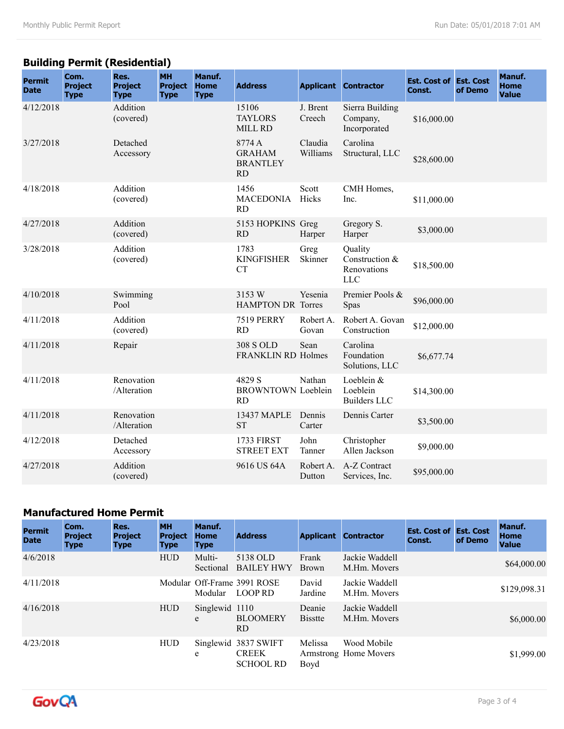## **Building Permit (Residential)**

| <b>Permit</b><br><b>Date</b> | Com.<br><b>Project</b><br><b>Type</b> | Res.<br><b>Project</b><br><b>Type</b> | <b>MH</b><br><b>Project</b><br><b>Type</b> | Manuf.<br><b>Home</b><br><b>Type</b> | <b>Address</b>                                          |                     | <b>Applicant Contractor</b>                     | <b>Est. Cost of Est. Cost</b><br>Const. | of Demo | Manuf.<br><b>Home</b><br><b>Value</b> |
|------------------------------|---------------------------------------|---------------------------------------|--------------------------------------------|--------------------------------------|---------------------------------------------------------|---------------------|-------------------------------------------------|-----------------------------------------|---------|---------------------------------------|
| 4/12/2018                    |                                       | Addition<br>(covered)                 |                                            |                                      | 15106<br><b>TAYLORS</b><br>MILL RD                      | J. Brent<br>Creech  | Sierra Building<br>Company,<br>Incorporated     | \$16,000.00                             |         |                                       |
| 3/27/2018                    |                                       | Detached<br>Accessory                 |                                            |                                      | 8774 A<br><b>GRAHAM</b><br><b>BRANTLEY</b><br><b>RD</b> | Claudia<br>Williams | Carolina<br>Structural, LLC                     | \$28,600.00                             |         |                                       |
| 4/18/2018                    |                                       | Addition<br>(covered)                 |                                            |                                      | 1456<br><b>MACEDONIA</b><br><b>RD</b>                   | Scott<br>Hicks      | CMH Homes,<br>Inc.                              | \$11,000.00                             |         |                                       |
| 4/27/2018                    |                                       | Addition<br>(covered)                 |                                            |                                      | 5153 HOPKINS Greg<br><b>RD</b>                          | Harper              | Gregory S.<br>Harper                            | \$3,000.00                              |         |                                       |
| 3/28/2018                    |                                       | Addition<br>(covered)                 |                                            |                                      | 1783<br><b>KINGFISHER</b><br><b>CT</b>                  | Greg<br>Skinner     | Quality<br>Construction &<br>Renovations<br>LLC | \$18,500.00                             |         |                                       |
| 4/10/2018                    |                                       | Swimming<br>Pool                      |                                            |                                      | 3153 W<br><b>HAMPTON DR Torres</b>                      | Yesenia             | Premier Pools &<br>Spas                         | \$96,000.00                             |         |                                       |
| 4/11/2018                    |                                       | Addition<br>(covered)                 |                                            |                                      | <b>7519 PERRY</b><br><b>RD</b>                          | Robert A.<br>Govan  | Robert A. Govan<br>Construction                 | \$12,000.00                             |         |                                       |
| 4/11/2018                    |                                       | Repair                                |                                            |                                      | 308 S OLD<br><b>FRANKLIN RD Holmes</b>                  | Sean                | Carolina<br>Foundation<br>Solutions, LLC        | \$6,677.74                              |         |                                       |
| 4/11/2018                    |                                       | Renovation<br>/Alteration             |                                            |                                      | 4829 S<br><b>BROWNTOWN Loeblein</b><br><b>RD</b>        | Nathan              | Loeblein &<br>Loeblein<br><b>Builders LLC</b>   | \$14,300.00                             |         |                                       |
| 4/11/2018                    |                                       | Renovation<br>/Alteration             |                                            |                                      | 13437 MAPLE<br><b>ST</b>                                | Dennis<br>Carter    | Dennis Carter                                   | \$3,500.00                              |         |                                       |
| 4/12/2018                    |                                       | Detached<br>Accessory                 |                                            |                                      | <b>1733 FIRST</b><br><b>STREET EXT</b>                  | John<br>Tanner      | Christopher<br>Allen Jackson                    | \$9,000.00                              |         |                                       |
| 4/27/2018                    |                                       | Addition<br>(covered)                 |                                            |                                      | 9616 US 64A                                             | Robert A.<br>Dutton | A-Z Contract<br>Services, Inc.                  | \$95,000.00                             |         |                                       |

#### **Manufactured Home Permit**

| <b>Permit</b><br><b>Date</b> | Com.<br><b>Project</b><br><b>Type</b> | Res.<br><b>Project</b><br><b>Type</b> | <b>MH</b><br><b>Project</b><br><b>Type</b> | Manuf.<br><b>Home</b><br><b>Type</b> | <b>Address</b>                                 | <b>Applicant</b>         | <b>Contractor</b>                    | <b>Est. Cost of Est. Cost</b><br>Const. | of Demo | Manuf.<br><b>Home</b><br><b>Value</b> |
|------------------------------|---------------------------------------|---------------------------------------|--------------------------------------------|--------------------------------------|------------------------------------------------|--------------------------|--------------------------------------|-----------------------------------------|---------|---------------------------------------|
| 4/6/2018                     |                                       |                                       | <b>HUD</b>                                 | Multi-<br>Sectional                  | 5138 OLD<br><b>BAILEY HWY</b>                  | Frank<br><b>Brown</b>    | Jackie Waddell<br>M.Hm. Movers       |                                         |         | \$64,000.00                           |
| 4/11/2018                    |                                       |                                       |                                            | Modular                              | Modular Off-Frame 3991 ROSE<br>LOOP RD         | David<br>Jardine         | Jackie Waddell<br>M.Hm. Movers       |                                         |         | \$129,098.31                          |
| 4/16/2018                    |                                       |                                       | <b>HUD</b>                                 | Singlewid<br>e                       | 1110<br><b>BLOOMERY</b><br>RD.                 | Deanie<br><b>Bisstte</b> | Jackie Waddell<br>M.Hm. Movers       |                                         |         | \$6,000.00                            |
| 4/23/2018                    |                                       |                                       | <b>HUD</b>                                 | Singlewid<br>e                       | 3837 SWIFT<br><b>CREEK</b><br><b>SCHOOL RD</b> | Melissa<br>Boyd          | Wood Mobile<br>Armstrong Home Movers |                                         |         | \$1,999.00                            |